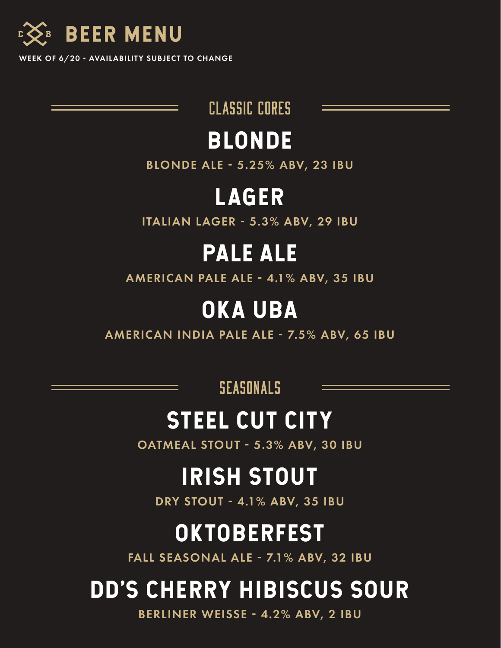

WEEK OF 6/20 - AVAILABILITY SUBJECT TO CHANGE

classic cores

#### BLONDE

**BLONDE ALE - 5.25% ABV, 23 IBU** 

#### LAGER

ITALIAN LAGER - 5.3% ABV, 29 IBU

#### PALE ALE

AMERICAN PALE ALE - 4.1% ABV, 35 IBU

### OKA UBA

AMERICAN INDIA PALE ALE - 7.5% ABV, 65 IBU

SEASONALS

### STEEL CUT CITY

OATMEAL STOUT - 5.3% ABV, 30 IBU

# IRISH STOUT

DRY STOUT - 4.1% ABV, 35 IBU

### **OKTOBERFEST**

FALL SEASONAL ALE - 7.1% ABV, 32 IBU

# DD'S CHERRY HIBISCUS SOUR

BERLINER WEISSE - 4.2% ABV, 2 IBU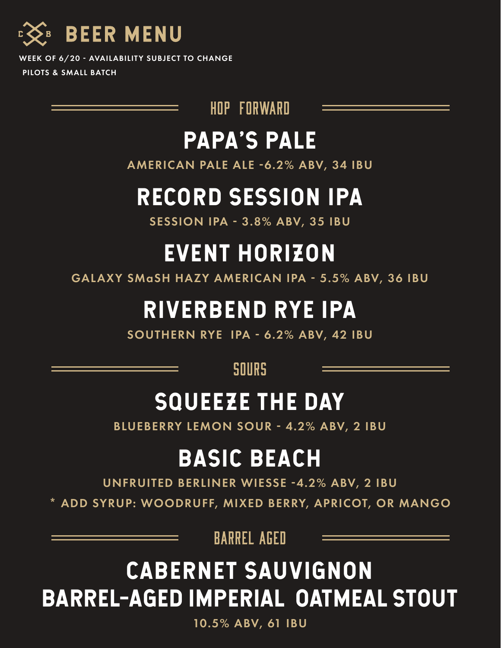

WEEK OF 6/20 - AVAILABILITY SUBJECT TO CHANGE PILOTS & SMALL BATCH

hop forward

#### PAPA'S PALE

AMERICAN PALE ALE -6.2% ABV, 34 IBU

## RECORD SESSION IPA

**SESSION IPA - 3.8% ABV, 35 IBU** 

# EVENT HORIZON

GALAXY SMaSH HAZY AMERICAN IPA - 5.5% ABV, 36 IBU

## RIVERBEND RYE IPA

SOUTHERN RYE IPA - 6.2% ABV, 42 IBU

sours

### SQUEEZE THE DAY

BLUEBERRY LEMON SOUR - 4.2% ABV, 2 IBU

### BASIC BEACH

UNFRUITED BERLINER WIESSE -4.2% ABV, 2 IBU

\* ADD SYRUP: WOODRUFF, MIXED BERRY, APRICOT, OR MANGO

barrel aged

# CABERNET SAUVIGNON BARREL-AGED IMPERIAL OATMEAL STOUT

10.5% ABV, 61 IBU